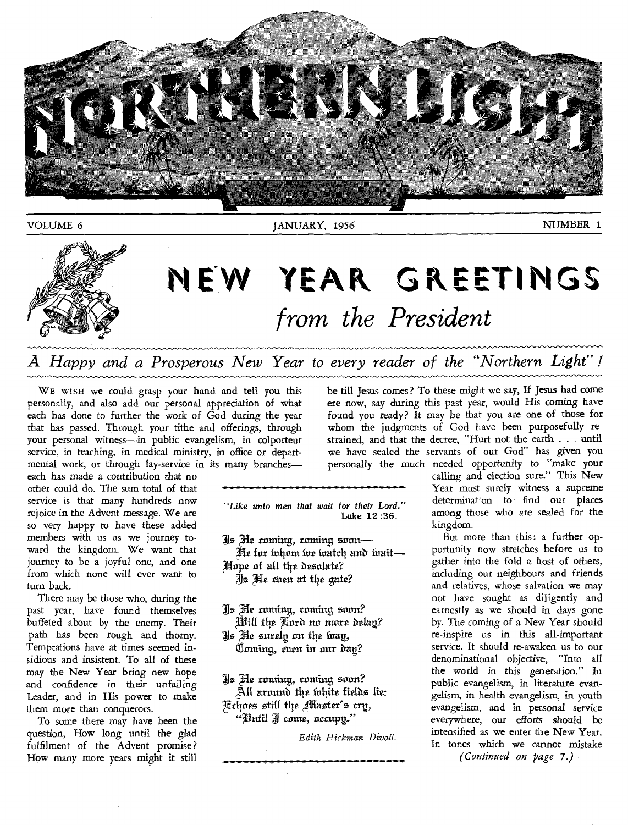

# NEW YEAR GREETINGS *from the President*

*A Happy and a Prosperous New Year to every reader of the "Northern Light" !* 

WE WISH we could grasp your hand and tell you this personally, and also add our personal appreciation of what each has done to further the work of God during the year that has passed. Through your tithe and offerings, through your personal witness—in public evangelism, in colporteur service, in teaching, in medical ministry, in office or departmental work, or through lay-service in its many branches—

each has made a contribution that no other could do. The sum total of that service is that many hundreds now rejoice in the Advent message. We are so very happy to have these added members with us as we journey toward the kingdom. We want that journey to be a joyful one, and one from which none will ever want to turn back.

There may be those who, during the past year, have found themselves buffeted about by the enemy. Their path has been rough and thorny. Temptations have at times seemed insidious and insistent. To all of these may the New Year bring new hope and confidence in their unfailing Leader, and in His power to make them more than conquerors.

To some there may have been the question, How long until the glad fulfilment of the Advent promise? How many more years might it still

*"Like unto men that wait for their Lord."*  Luke 12 :36.

3.J55 lEir ranting, routing smart— He for inhom toe toatch and toait-

Hope of all the desolate?

Js He even at the gate?

Xs Pe coming, routing soon? Will the Lard no more delay?

4740 Pr surely on the faag, Coming, even in our day?

Xs Pe coming, coming soon?  $\tilde{\mathbb{A}}$ ll around the inhite fields lie:

Echoes still the Master's cry,  $"$ Until J come, occupy."

*Edith Hickman Diva!!.* 

be till Jesus comes? To these might we say, If Jesus had come ere now, say during this past year, would His coming have found you ready? It may be that you are one of those for whom the judgments of God have been purposefully restrained, and that the decree, "Hurt not the earth . . . until we have sealed the servants of our God" has given you personally the much needed opportunity to "make your

calling and election sure." This New Year must surely witness a supreme determination to- find our places among those who are sealed for the kingdom.

But more than this: a further opportunity now stretches before us to gather into the fold a host of others, including our neighbours and friends and relatives, whose salvation we may not have sought as diligently and earnestly as we should in days gone by. The *coming* of a New Year should re-inspire us in this all-important service. It should re-awaken us to our denominational objective, "Into all the world in this generation." In public evangelism, in literature evangelism, in health evangelism, in youth evangelism, and in personal service everywhere, our efforts should be intensified as we enter the New Year. In tones which we cannot mistake *(Continued on page 7.)*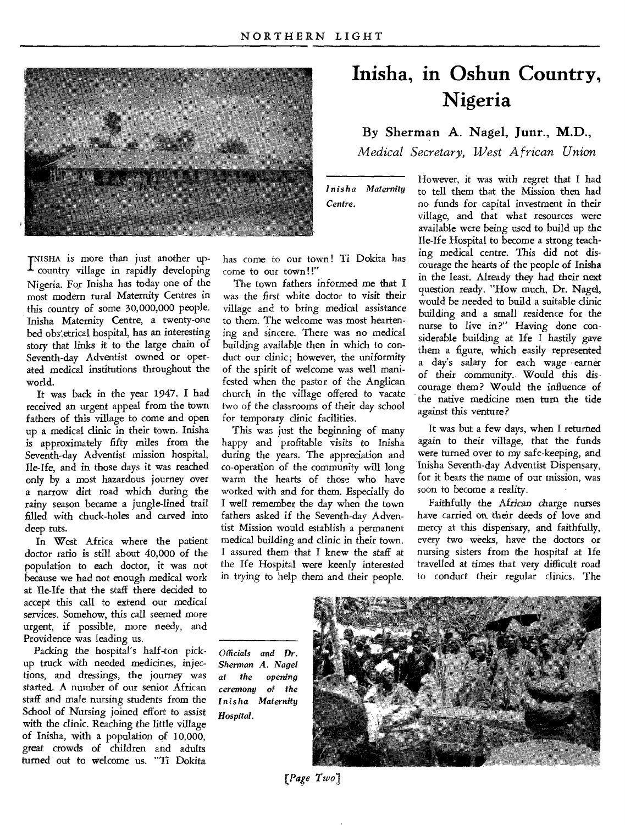

TNISHA is more than just another upcountry village in rapidly developing Nigeria. For Inisha has today one of the most modern rural Maternity Centres in this country of some 30,000,000 people. Inisha Maternity Centre, a twenty-one bed obs'etrical hospital, has an interesting story that links it to the large chain of Seventh-day Adventist owned or operated medical institutions throughout the world.

It was back in the year 1947. I had received an urgent appeal from the town fathers of this village to come and open up a medical clinic in their town. Inisha is approximately fifty miles from the Seventh-day Adventist mission hospital, Ile-Ife, and in those days it was reached only by a most hazardous journey over a narrow dirt road which during the rainy season became a jungle-lined trail filled with chuck-holes and carved into deep ruts.

In West Africa where the patient doctor ratio is still about 40,000 of the population to each doctor, it was not because we had not enough medical work at Ile-Ife that the staff there decided to accept this call to extend our medical services. Somehow, this call seemed more urgent, if possible, more needy, and Providence was leading us.

Packing the hospital's half-ton pickup truck with needed medicines, injections, and dressings, the journey was started. A number of our senior African staff and male nursing students from the School of Nursing joined effort to assist with the clinic. Reaching the little village of Inisha, with a population of 10,000, great crowds of children and adults turned out to welcome us. "Ti Dokita

has come to our town! Ti Dokita has come to our town!!"

The town fathers informed me that I was the first white doctor to visit their village and to bring medical assistance to them. The welcome was most heartening and sincere. There was no medical building available then in which to conduct our clinic; however, the uniformity of the spirit of welcome was well manifested when the pastor of the Anglican church in the village offered to vacate two of the classrooms of their day school for temporary clinic facilities.

This was just the beginning of many happy and profitable visits to Inisha during the years. The appreciation and co-operation of the community will long warm the hearts of those who have worked with and for them. Especially do I well remember the day when the town fathers asked if the Seventh-day Adventist Mission would establish a permanent medical building and clinic in their town. I assured them that I knew the staff at the Ife Hospital were keenly interested in trying to help them and their people.

## **Inisha, in Oshun Country, Nigeria**

By Sherman A. Nagel, Junr., **M.D.,** 

*Medical Secretary, West African Union* 

*Inisha Maternity Centre.* 

However, it was with regret that I had to tell them that the Mission then had no funds for capital investment in their village, and that what resources were available were being used to build up the Ile-Ife Hospital to become a strong teaching medical centre. This did not discourage the hearts of the people of Inisha in the least. Already they had their next question ready. "How much, Dr. Nagel, would be needed to build a suitable clinic building and a small residence for the nurse to live in?" Having done considerable building at Ife I hastily gave them a figure, which easily represented a day's salary for each wage earner of their community.. Would this discourage them? Would the influence of the native medicine men turn the tide against this venture?

It was but a few days, when I returned again to their village, that the funds were turned over to my safe-keeping, and Inisha Seventh-day Adventist Dispensary, for it bears the name of our mission, was soon to become a reality.

Faithfully the *African charge* nurses have carried on their deeds of love and mercy at this dispensary, and faithfully, every two weeks, have the doctors or nursing sisters from the hospital at Ife travelled at times that very difficult road to conduct their regular clinics. The

*Officials and Dr. Sherman A. Nagel at the opening ceremony Inisha Maternity Hospital.* 



*(Page Twol*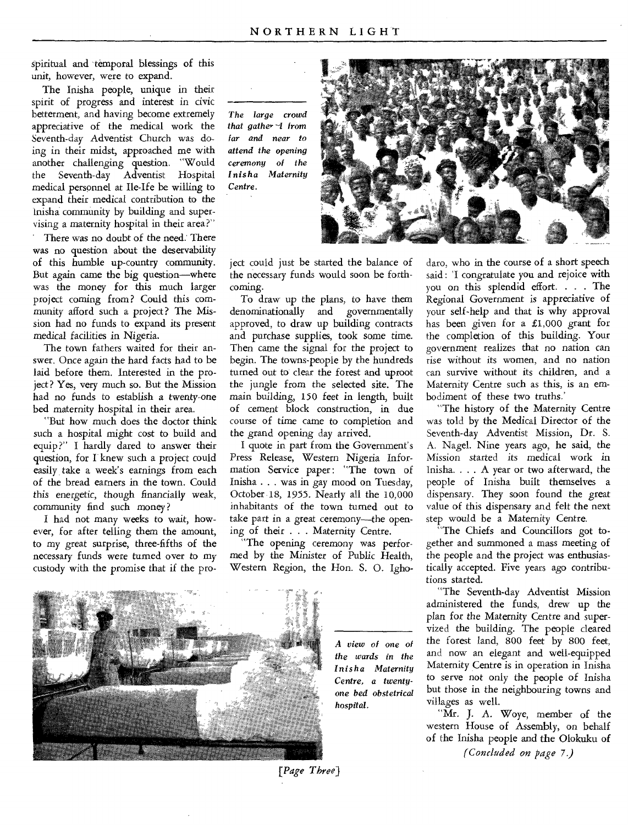spiritual and temporal blessings of this unit, however, were to expand.

The Inisha people, unique in their spirit of progress and interest in civic betterment, and having become extremely appreciative of the medical work the Seventh-day Adventist Church was doing in their midst, approached me with another challenging question. "Would the Seventh-day Adventist Hospital medical personnel at Ile-Ife be willing to expand their medical contribution to the Inisha community by building and supervising a maternity hospital in their area?"

There was no doubt of the need. There was no question about the deservability of this humble up-country community. But again came the big question—where was the money for this much larger project coming from? Could this community afford such a project? The Mission had no funds to expand its present medical facilities in Nigeria.

The town fathers waited for their answer. Once again the hard facts had to be laid before them. Interested in the project? Yes, very much so. But the Mission had no funds to establish a twenty-one bed maternity hospital in their area.

"But how much does the doctor think such a hospital might cost to build and equip?" I hardly dared to answer their question, for I knew such a project could easily take a week's earnings from each of the bread earners in the town. Could this energetic, though financially weak, community find such money ?

I had not many weeks to wait, however, for after telling them the amount, to my great surprise, three-fifths of the necessary funds were turned over to my custody with the promise that if the pro-

*The large crowd that gathe,- -1 from far and near to attend the* opening *ceremony of the Inisha Maternity Centre.* 



ject could just be started the balance of the necessary funds would soon be forthcoming.

To draw up the plans, to have them denominationally and governmentally approved, to draw up building contracts and purchase supplies, took some time. Then came the signal for the project to begin. The towns-people by the hundreds turned out to clear the forest and uproot the jungle from the selected site. The main building, 150 feet in length, built of cement block construction, in due course of time came to completion and the grand opening day arrived.

I quote in part from the Government's Press Release, Western Nigeria Information Service paper: "The town of Inisha . . . was in gay mood on Tuesday, October 18, 1955. Nearly all the 10,000 inhabitants of the town turned out to take part in a great ceremony—the opening of their . . . Maternity Centre.

"The opening ceremony was performed by the Minister of Public Health, Western Region, the Hon. S. 0. Igho-



*A view of one of the wards in the Inisha Maternity Centre, a twentyone bed obstetrical hospital.* 

daro, who in the course of a short speech said : 'I congratulate you and rejoice with you on this splendid effort. . . . The Regional Government is appreciative of your self-help and that is why approval has been given for a £1,000 grant for the completion of this building. Your government realizes that no nation can rise without its women, and no nation can survive without its children, and a Maternity Centre such as this, is an embodiment of these two truths.'

"The history of the Maternity Centre was told by the Medical Director of the Seventh-day Adventist Mission, Dr. S. A. Nagel. Nine years ago, he said, the Mission started its medical work in Inisha. . . A year or two afterward, the people of Inisha built themselves a dispensary. They soon found the great value of this dispensary and felt the next step would be a Maternity Centre.

"The Chiefs and Councillors got together and summoned a mass meeting of the people and the project was enthusiastically accepted. Five years ago contributions started.

"The Seventh-day Adventist Mission administered the funds, drew up the plan for the Maternity Centre and supervized the building. The people cleared the forest land, 800 feet by 800 feet, and now an elegant and well-equipped Maternity Centre is in operation in Inisha to serve not only the people of Inisha but those in the neighbouring towns and villages as well.

"Mr. J. A. Woye, member of the western House of Assembly, on behalf of the Inisha people and the Olokuku of

*(Concluded on page* 7.)

*[Page Three)*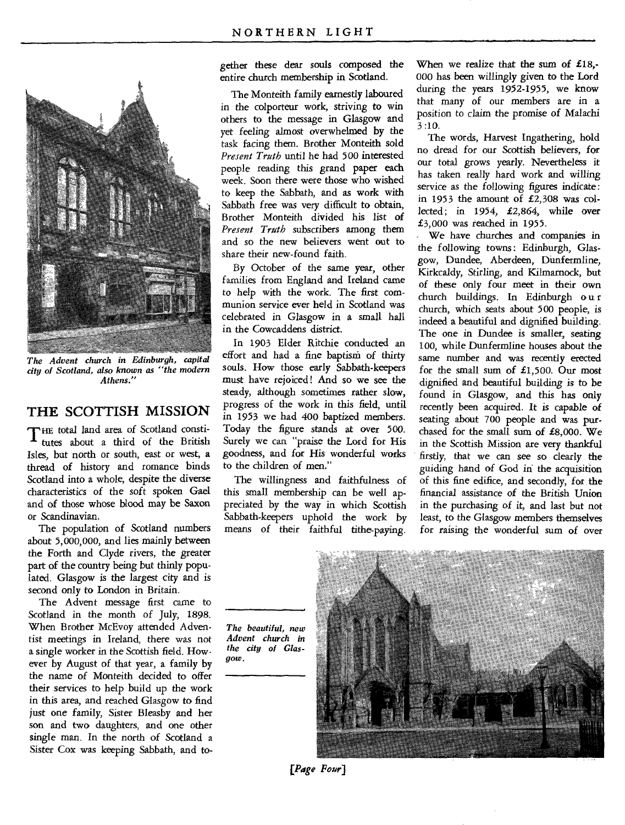

*The Advent church in Edinburgh, capital city of Scotland, also known as "the modern Athens."* 

#### **THE SCOTTISH MISSION**

THE total land area of Scotland consti-<br>
tutes about a third of the British tutes about a third of the British Isles, but north or south, east or west, a thread of history and romance binds Scotland into a whole, despite the diverse characteristics of the soft spoken Gael and of those whose blood may be Saxon or Scandinavian.

The population of Scotland numbers about 5,000,000, and lies mainly between the Forth and Clyde rivers, the greater part of the country being but thinly populated. Glasgow is the largest city and is second only to London in Britain.

The Advent message first came to Scotland in the month of July, 1898. When Brother McEvoy attended Adventist meetings in Ireland, there was not a single worker in the Scottish field. However by August of that year, a family by the name of Monteith decided to offer their services to help build up the work in this area, and reached Glasgow to find just one family, Sister Bleasby and her son and two daughters, and one other single man. In the north of Scotland a Sister Cox was keeping Sabbath, and together these dear souls composed the entire church membership in Scotland.

The Monteith family earnestly laboured in the colporteur work, striving to win others to the message in Glasgow and yet feeling almost overwhelmed by the task facing them. Brother Monteith sold *Present Truth* until he had 500 interested people reading this grand paper each week. Soon there were those who wished to keep the Sabbath, and as work with Sabbath free was very difficult to obtain, Brother Monteith divided his list of *Present Truth* subscribers among them and so the new believers went out to share their new-found faith.

By October of the same year, other families from England and Ireland came to help with the work. The first communion service ever held in Scotland was celebrated in Glasgow in a small hall in the Cowcaddens district.

In 1903 Elder Ritchie conducted an effort and had a fine baptism of thirty souls. How those early Sabbath-keepers must have rejoiced! And so we see the steady, although sometimes rather slow, progress of the work in this field, until in 1953 we had 400 baptized members. Today the figure stands at over 500. Surely we can "praise the Lord for His goodness, and for His wonderful works to the children of men."

The willingness and faithfulness of this small membership can be well appreciated by the way in which Scottish Sabbath-keepers uphold the work by means of their faithful tithe-paying.

When we realize that the sum of  $£18, -$ 000 has been willingly given to the Lord during the years 1952-1955, we know that many of our members are in a position to claim the promise of Malachi 3 :10.

The words, Harvest Ingathering, hold no dread for our Scottish believers, for our total grows yearly. Nevertheless it has taken really hard work and willing service as the following figures indicate: in 1953 the amount of £2,308 was collected; in 1954, £2,864, while over £3,000 was reached in 1955.

We have churches and companies in the following towns: Edinburgh, Glasgow, Dundee, Aberdeen, Dunfermline, Kirkcaldy, Stirling, and Kilmarnock, but of these only four meet in their own church buildings. In Edinburgh o u r church, which seats about 500 people, is indeed a beautiful and dignified building. The one in Dundee is smaller, seating 100, while Dunfermline houses about the same number and was recently erected for the small sum of  $£1,500$ . Our most dignified and beautiful building is to be found in Glasgow, and this has only recently been acquired. It is capable of seating about 700 people and was purchased for the small sum of £8,000. We in the Scottish Mission are very thankful firstly, that we can see so dearly the guiding hand of God iri the acquisition of this fine edifice, and secondly, for the financial assistance of the British Union in the purchasing of it, and last but not least, to the Glasgow members themselves for raising the wonderful sum of over

*The beautiful, new Advent church in the city of Glasgow.* 



*Page Four]*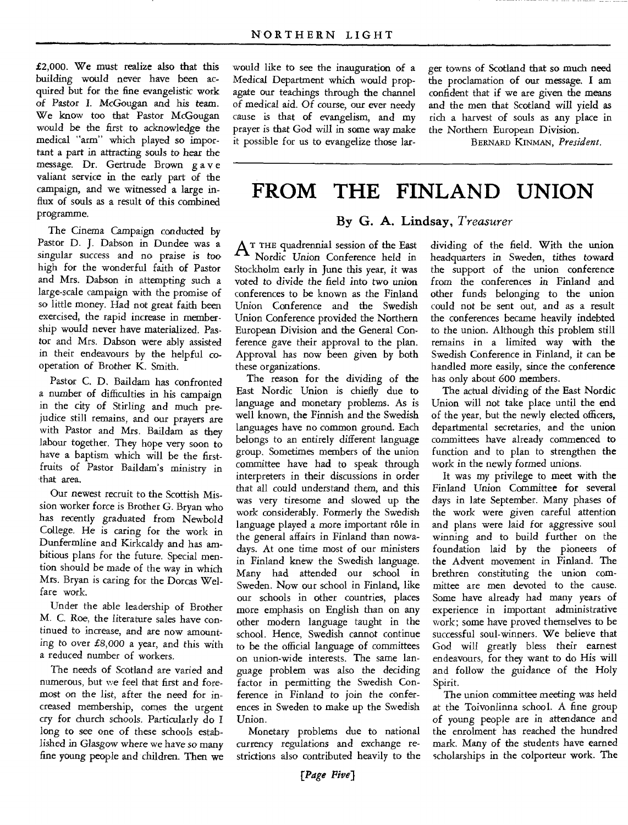£2,000. We must realize also that this building would never have been acquired but for the fine evangelistic work of *Pastor* I. McGougan and his team. We know too that Pastor McGougan would be the first to acknowledge the medical "arm" which played so important a part in attracting souls to hear the message. Dr. Gertrude Brown g a v e valiant service in the early part of the campaign, and we witnessed a large influx of souls as a result of this combined programme.

The Cinema Campaign conducted by Pastor D. J. Dabson in Dundee was a singular success and no praise is too high for the wonderful faith of Pastor and Mrs. Dabson in attempting such a large-scale campaign with the promise of so little money. Had not great faith been exercised, the rapid increase in membership would never have materialized. Pastor and Mrs. Dabson were ably assisted in their endeavours by the helpful cooperation of Brother K. Smith.

Pastor C. D. Baildam has confronted a number of difficulties in his campaign in the city of Stirling and much prejudice still remains, and our prayers are with Pastor and Mrs. Baildam as they labour together. They hope very soon to have a baptism which will be the firstfruits of Pastor Baildam's ministry in that area.

Our newest recruit to the Scottish Mission worker force is Brother G. Bryan who has recently graduated from Newbold College. He is caring for the work in Dunfermline and Kirkcaldy and has ambitious plans for the future. Special mention should be made of the way in which Mrs. Bryan is caring for the Dorcas Welfare work.

Under the able leadership of Brother M. C. Roe, the literature sales have continued to increase, and are now amounting to over £8,000 a year, and this with a reduced number of workers.

The needs of Scotland are varied and numerous, but we feel that first and foremost on the list, after the need for increased membership, comes the urgent cry for church *schools.* Particularly do I long to see one of these schools established in Glasgow where we have so many fine young people and children. Then we would like to see the inauguration of a Medical Department which would propagate our teachings through the channel *of* medical aid. Of course, our ever needy cause is that of evangelism, and my prayer is that God will in some way make it possible for us to evangelize those larger towns of Scotland that so much need the proclamation of our message. I am confident that if we are given the means and the men that Scotland will yield as rich a harvest of souls as any place in the Northern European Division.

BERNARD KINMAN, *President.* 

### **FROM THE FINLAND UNION**

#### **By G. A. Lindsay,** *Treasurer*

 $A^{\text{T}}$  THE quadrennial session of the East Nordic Union Conference held in Stockholm early in June this year, it was voted to divide the field into two union conferences to be known as the Finland Union Conference and the Swedish Union Conference provided the Northern European Division and the General Conference gave their approval to the plan. Approval has now been given by both these organizations.

The reason for the dividing of the East Nordic Union is chiefly due to language and monetary problems. As is well known, the Finnish and the Swedish languages have no common ground. Each belongs to an entirely different language group. Sometimes members of the union committee have had to speak through interpreters in their discussions in order that all could understand them, and this was very tiresome and slowed up the work considerably. Formerly the Swedish language played a more important rôle in the general affairs in Finland than nowadays. At one time most of our ministers in Finland knew the Swedish language. Many had attended our school in Sweden. Now our school in Finland, like our schools in other countries, places more emphasis on English than on any other modern language taught in the school. Hence, Swedish cannot continue to be the official language of committees on union-wide interests. The same language problem was also the deciding factor in permitting the Swedish Conference in Finland to join the conferences in Sweden to make up the Swedish Union.

Monetary problems due to national currency regulations and exchange restrictions also contributed heavily to the

dividing of the field. With the union headquarters in Sweden, tithes toward the support of the union conference from the *conferences* in Finland and other funds belonging to the union could not be sent out, and as a result the conferences became heavily indebted to the union. Although this problem still remains in a limited way with the Swedish Conference in Finland, it can be handled more easily, since the conference has only about 600 members.

The actual dividing of the East Nordic Union will not take place until the end of the year, but the newly elected officers, departmental secretaries, and the union committees have already commenced to function and to plan to strengthen the work in the newly formed unions.

It was my privilege to meet with the Finland Union Committee for several days in late September. Many phases of the work were *given* careful attention and plans were laid for aggressive soul winning and to build further on the foundation laid by the pioneers of the Advent movement in Finland. The brethren constituting the union committee are men devoted to the cause. Some have already had many years of experience in important administrative work; some have proved themselves to be successful soul-winners. We believe that God will greatly bless their earnest endeavours, for they want to do His will and follow the guidance of the Holy Spirit.

The union committee meeting was held at the Toivonlinna school. A fine group of young people are in attendance and the enrolment has reached the hundred mark. Many of the students have earned scholarships in the colporteur work. The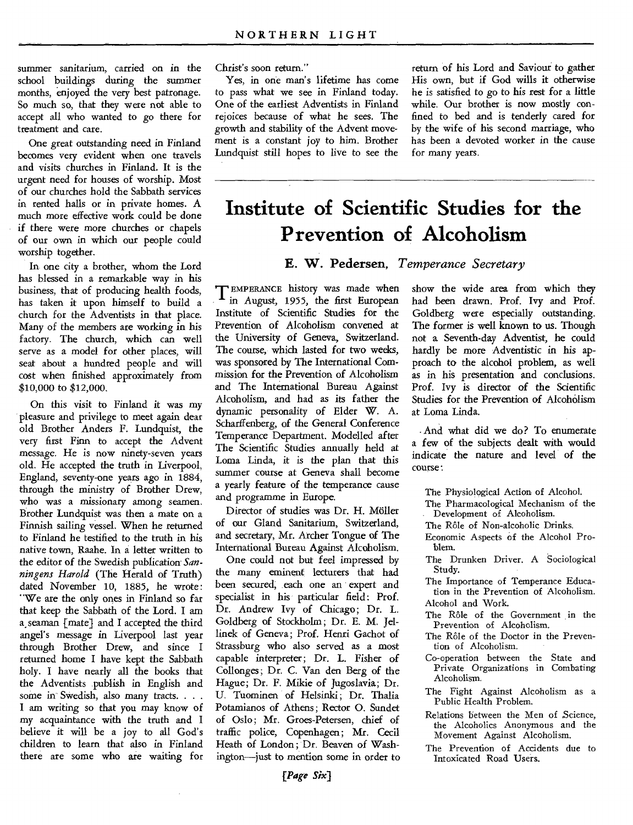summer sanitarium, carried on in the school buildings during the summer months, enjoyed the very best patronage. So much so, that they were not able to accept all who wanted to go there for treatment and care.

One great outstanding need in Finland becomes very evident when one travels and visits churches in Finland. It is the urgent need for houses of worship. Most of our churches hold the Sabbath services in rented halls or in private homes. A much more effective work could be done if there were more churches or chapels of our own in which our people could worship together.

In one city a brother, whom the Lord has blessed in a remarkable way in his business, that of producing health foods, has taken it upon himself to build a church for the Adventists in that place. Many of the members are working in his factory. The church, which can well serve as a model for other places, will seat about a hundred people and will cost when finished approximately from \$10,000 to \$12,000.

On this visit to Finland it was my pleasure and privilege to meet again dear old Brother Anders F. Lundquist, the very first Finn to accept the Advent message. He is now ninety-seven years old. He accepted the truth in Liverpool, England, seventy-one years ago in 1884, through the ministry of Brother Drew, who was a missionary among seamen. Brother Lundquist was then a mate on a Finnish sailing vessel. When he returned to Finland he testified to the truth in his native town, Raahe. In a letter written to the editor of the Swedish publication *Sanningens Harold* (The Herald of Truth) dated November 10, 1885, he wrote: "We are the only ones in Finland so far that keep the Sabbath of the Lord. I am a, seaman [mate) and I accepted the third angel's message in Liverpool last year through Brother Drew, and since I returned home I have kept the Sabbath holy. I have nearly all the books that the Adventists publish in English and some in Swedish, also many tracts.... I am writing so that you may know of my acquaintance with the truth and I believe it will be a joy to all God's children to learn that also in Finland there are some who are waiting for

Christ's soon return."

Yes, in one man's lifetime has come to pass what we see in Finland today. One of the earliest Adventists in Finland rejoices because of what he sees. The growth and stability of the Advent movement is a constant joy to him. Brother Lundquist still hopes to live to see the return of his Lord and Saviour to gather His own, but if God wills it otherwise he is satisfied to go to his rest for a little while. Our brother is now mostly confined to bed and is tenderly cared for by the wife of his second marriage, who has been a devoted worker in the cause for many years.

## **Institute of Scientific Studies for the Prevention of Alcoholism**

**E. W. Pedersen,** *Temperance Secretary* 

**T** EMPERANCE history was made when in August, 1955, the first European Institute of Scientific Studies for the Prevention of Alcoholism convened at the University of Geneva, Switzerland. The course, which lasted for two weeks, was sponsored by The International Commission for the Prevention of Alcoholism and The International Bureau Against Alcoholism, and had as its father the dynamic personality of Elder W. A. Scharffenberg, of the General Conference Temperance Department. Modelled after The Scientific Studies annually held at Loma Linda, it is the plan that this summer course at Geneva shall become a yearly feature of the temperance cause and programme in Europe.

Director of studies was Dr. H. Moller of our Gland Sanitarium, Switzerland, and secretary, Mr. Archer Tongue of The International Bureau Against Alcoholism.

One could not but feel impressed by the many eminent lecturers that had been secured; each one an expert and specialist in his particular field: Prof. Dr. Andrew Ivy of Chicago; Dr. L. Goldberg of Stockholm; Dr. E. M. Jellinek of Geneva; Prof. Henri Gachot of Strassburg who also served as a most capable interpreter; Dr. L. Fisher of Collonges; Dr. C. Van den Berg of the Hague; Dr. F. Mikie of Jugoslavia; Dr. U. Tuominen of Helsinki; Dr. Thalia Potamianos of Athens; Rector O. Sundet of Oslo; Mr. Groes-Petersen, chief of traffic police, Copenhagen; Mr. Cecil Heath of London; Dr. Beaven of Washington—just to mention some in order to show the wide area from which they had been drawn. Prof. Ivy and Prof. Goldberg were especially outstanding. The former is well known to us. Though not a Seventh-day Adventist, he could hardly be more Adventistic in his approach to the alcohol problem, as well as in his presentation and conclusions. Prof. Ivy is director of the Scientific Studies for the Prevention of Alcoholism at Loma Linda.

And what did we do? To enumerate a few of the subjects dealt with would indicate the nature and level of the course:

The Physiological Action of Alcohol.

The Pharmacological Mechanism of the Development of Alcoholism.

The Rôle of Non-alcoholic Drinks.

Economic Aspects of the Alcohol Problem.

The Drunken Driver. A Sociological Study.

The Importance of Temperance Education in the Prevention of Alcoholism. Alcohol and Work.

- The Rôle of the Government in the Prevention of Alcoholism.
- The Rôle of the Doctor in the Prevention of Alcoholism.
- Co-operation between the State and Private Organizations in Combating Alcoholism.
- The Fight Against Alcoholism as a Public Health Problem.
- Relations between the Men of Science, the Alcoholics Anonymous and the Movement Against Alcoholism.
- The Prevention of Accidents due to Intoxicated Road Users.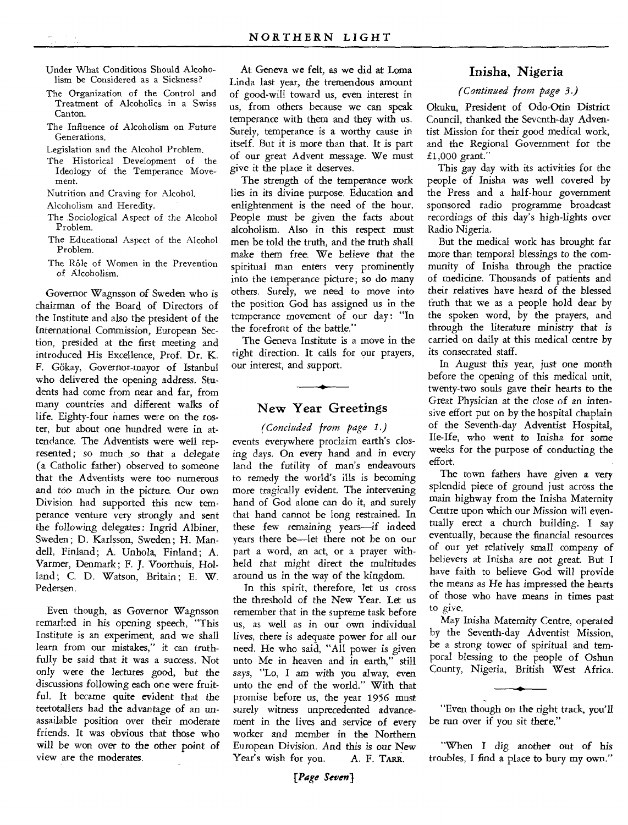- Under What Conditions Should Alcoholism be Considered as a Sickness?
- The Organization of the Control and Treatment of Alcoholics in a Swiss Canton.
- The Influence of Alcoholism on Future Generations.
- Legislation and the Alcohol Problem.
- The Historical Development of the Ideology of the Temperance Movement.
- Nutrition and Craving for Alcohol.
- Alcoholism and Heredity.
- The Sociological Aspect of the Alcohol Problem.
- The Educational Aspect of the Alcohol Problem.
- The Rôle of Women in the Prevention of Alcoholism.

Governor Wagnsson of Sweden who is chairman of the Board of Directors of the Institute and also the president of the International Commission, European Section, presided at the first meeting and introduced His Excellence, Prof. Dr. K. F. Gokay, Governor-mayor of Istanbul who delivered the opening address. Students had come from near and far, from many countries and different walks of life. Eighty-four names were on the roster, but about one hundred were in attendance. The Adventists were well represented ; so much so that a delegate (a Catholic father) observed to someone that the Adventists were too numerous and too much in the picture. Our own Division had supported this new temperance venture very strongly and sent the following delegates: Ingrid Albiner, Sweden; D. Karlsson, Sweden; H. Mandell, Finland; A. Unhola, Finland; A. Varmer, Denmark; F. J. Voorthuis, Holland; C. D. Watson, Britain; E. W. Pedersen.

Even though, as Governor Wagnsson remarked in his opening speech, "This Institute is an experiment, and we shall learn from our mistakes," it can truthfully be said that it was a success. Not only were the lectures good, but the discussions following each one were fruitful. It became quite evident that the teetotallers had the advantage of an unassailable position over their moderate friends. It was obvious that those who will be won over to the other point of view are the moderates.

At Geneva we felt, as we did at Loma Linda last year, the tremendous amount of good-will toward us, even interest in us, from others because we can speak temperance with them and they with us. Surely, temperance is a worthy cause in itself. But it is more than that. It is part of our great Advent message. We must give it the place it deserves.

The strength of the temperance work lies in its divine purpose. Education and enlightenment is the need of the hour. People must be given the facts about alcoholism. Also in this respect must men be told the truth, and the truth shall make them *free.* We believe that the spiritual man enters very prominently into the temperance picture; so do many others. Surely, we need to move into the position God has assigned us in the temperance movement of our day: "In the forefront of the battle."

The Geneva Institute is a move in the right direction. It calls for our prayers, our interest, and support.

#### New Year Greetings

*(Concluded from page 1.)* 

events everywhere proclaim earth's closing days. On every hand and in every land the futility of man's endeavours to remedy the world's ills is becoming more tragically evident. The intervening hand of God alone can do it, and surely that hand cannot be long restrained. In these few remaining *years—if* indeed years there be—let there not be on our part a word, an act, or a prayer withheld that might direct the multitudes around us in the way of the kingdom.

In this spirit, therefore, let us cross the threshold of the New Year. Let us remember that in the supreme task before us, as well as in our own individual *lives,* there is adequate power for all our need. He who said, "All power is given unto Me in heaven and in earth," still says, "Lo, I am with you alway, even unto the end of the world." With that promise before us, the year 1956 must surely witness unprecedented *advancement* in the lives and service of every worker and member in the Northern European Division. And this is our New Year's wish for you. A. F. TARR.

#### Inisha, Nigeria

#### *(Continued from page 3.)*

Okuku, President of Odo-Otin District Council, thanked the Seventh-day Adventist Mission for their good medical work, and the Regional Government for the £1,000 grant."

This gay day with its activities for the people of Inisha was well covered by the Press and a half-hour government sponsored radio programme broadcast recordings of this *day's* high-lights over Radio Nigeria.

But the medical work has brought far more than temporal blessings to the community of Inisha through the practice of medicine. Thousands of patients and their relatives have heard of the blessed truth that we as a people hold dear by the spoken word, by the prayers, and through the literature ministry that is carried on daily at this medical centre by its consecrated staff.

In August this year, just one month before the opening of this medical unit, twenty-two souls gave their hearts to the Great Physician at the *close* of an intensive effort put on by the hospital chaplain of the Seventh-day Adventist Hospital, Ile-Ife, who went to Inisha for some weeks for the purpose of conducting the effort.

The town fathers have given a very splendid piece of ground just across the main highway from the Inisha Maternity Centre upon which our Mission will eventually erect a church building. I say eventually, because the financial resources of our yet relatively small company of believers at Inisha are not great. But I have faith to believe God will provide the means as He has impressed the hearts of those who have means in times past to give.

May Inisha Maternity Centre, operated by the Seventh-day Adventist Mission, be a strong tower of spiritual and temporal blessing to the people of Oshun County, Nigeria, British West Africa.

"Even though on the right track, you'll be run over if you sit there."

"When I dig another out of his troubles, I find a place to bury my own."